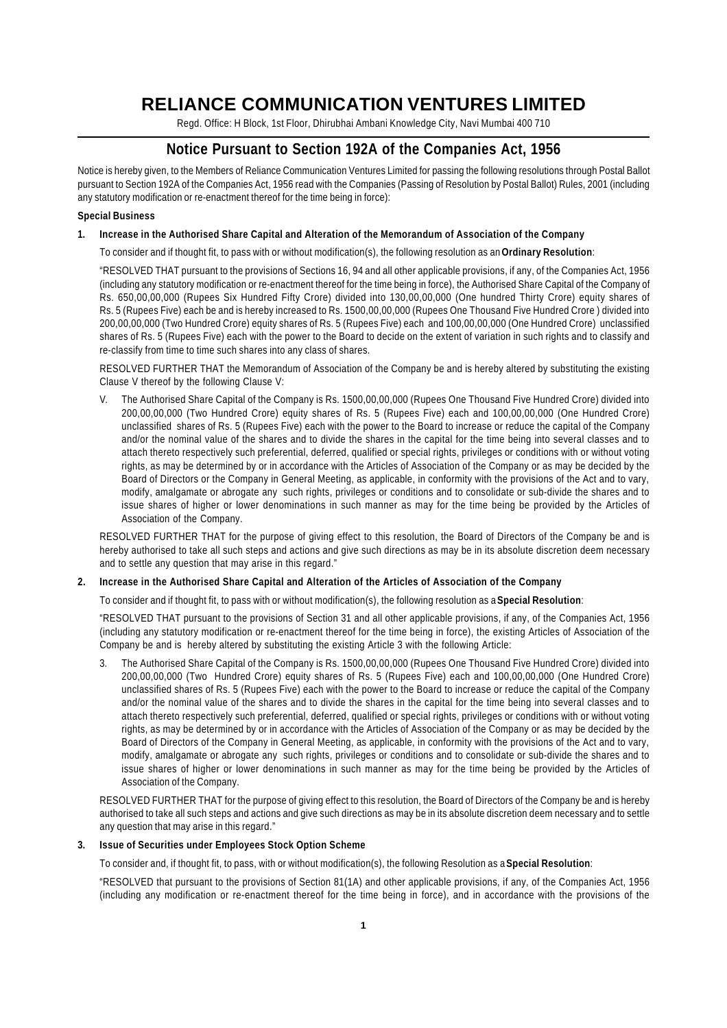# **RELIANCE COMMUNICATION VENTURES LIMITED**

Regd. Office: H Block, 1st Floor, Dhirubhai Ambani Knowledge City, Navi Mumbai 400 710

## **Notice Pursuant to Section 192A of the Companies Act, 1956**

Notice is hereby given, to the Members of Reliance Communication Ventures Limited for passing the following resolutions through Postal Ballot pursuant to Section 192A of the Companies Act, 1956 read with the Companies (Passing of Resolution by Postal Ballot) Rules, 2001 (including any statutory modification or re-enactment thereof for the time being in force):

### **Special Business**

## **1. Increase in the Authorised Share Capital and Alteration of the Memorandum of Association of the Company**

To consider and if thought fit, to pass with or without modification(s), the following resolution as an **Ordinary Resolution**:

"RESOLVED THAT pursuant to the provisions of Sections 16, 94 and all other applicable provisions, if any, of the Companies Act, 1956 (including any statutory modification or re-enactment thereof for the time being in force), the Authorised Share Capital of the Company of Rs. 650,00,00,000 (Rupees Six Hundred Fifty Crore) divided into 130,00,00,000 (One hundred Thirty Crore) equity shares of Rs. 5 (Rupees Five) each be and is hereby increased to Rs. 1500,00,00,000 (Rupees One Thousand Five Hundred Crore ) divided into 200,00,00,000 (Two Hundred Crore) equity shares of Rs. 5 (Rupees Five) each and 100,00,00,000 (One Hundred Crore) unclassified shares of Rs. 5 (Rupees Five) each with the power to the Board to decide on the extent of variation in such rights and to classify and re-classify from time to time such shares into any class of shares.

RESOLVED FURTHER THAT the Memorandum of Association of the Company be and is hereby altered by substituting the existing Clause V thereof by the following Clause V:

V. The Authorised Share Capital of the Company is Rs. 1500,00,00,000 (Rupees One Thousand Five Hundred Crore) divided into 200,00,00,000 (Two Hundred Crore) equity shares of Rs. 5 (Rupees Five) each and 100,00,00,000 (One Hundred Crore) unclassified shares of Rs. 5 (Rupees Five) each with the power to the Board to increase or reduce the capital of the Company and/or the nominal value of the shares and to divide the shares in the capital for the time being into several classes and to attach thereto respectively such preferential, deferred, qualified or special rights, privileges or conditions with or without voting rights, as may be determined by or in accordance with the Articles of Association of the Company or as may be decided by the Board of Directors or the Company in General Meeting, as applicable, in conformity with the provisions of the Act and to vary, modify, amalgamate or abrogate any such rights, privileges or conditions and to consolidate or sub-divide the shares and to issue shares of higher or lower denominations in such manner as may for the time being be provided by the Articles of Association of the Company.

RESOLVED FURTHER THAT for the purpose of giving effect to this resolution, the Board of Directors of the Company be and is hereby authorised to take all such steps and actions and give such directions as may be in its absolute discretion deem necessary and to settle any question that may arise in this regard."

### **2. Increase in the Authorised Share Capital and Alteration of the Articles of Association of the Company**

To consider and if thought fit, to pass with or without modification(s), the following resolution as a **Special Resolution**:

"RESOLVED THAT pursuant to the provisions of Section 31 and all other applicable provisions, if any, of the Companies Act, 1956 (including any statutory modification or re-enactment thereof for the time being in force), the existing Articles of Association of the Company be and is hereby altered by substituting the existing Article 3 with the following Article:

3. The Authorised Share Capital of the Company is Rs. 1500,00,00,000 (Rupees One Thousand Five Hundred Crore) divided into 200,00,00,000 (Two Hundred Crore) equity shares of Rs. 5 (Rupees Five) each and 100,00,00,000 (One Hundred Crore) unclassified shares of Rs. 5 (Rupees Five) each with the power to the Board to increase or reduce the capital of the Company and/or the nominal value of the shares and to divide the shares in the capital for the time being into several classes and to attach thereto respectively such preferential, deferred, qualified or special rights, privileges or conditions with or without voting rights, as may be determined by or in accordance with the Articles of Association of the Company or as may be decided by the Board of Directors of the Company in General Meeting, as applicable, in conformity with the provisions of the Act and to vary, modify, amalgamate or abrogate any such rights, privileges or conditions and to consolidate or sub-divide the shares and to issue shares of higher or lower denominations in such manner as may for the time being be provided by the Articles of Association of the Company.

RESOLVED FURTHER THAT for the purpose of giving effect to this resolution, the Board of Directors of the Company be and is hereby authorised to take all such steps and actions and give such directions as may be in its absolute discretion deem necessary and to settle any question that may arise in this regard."

### **3. Issue of Securities under Employees Stock Option Scheme**

To consider and, if thought fit, to pass, with or without modification(s), the following Resolution as a **Special Resolution**:

"RESOLVED that pursuant to the provisions of Section 81(1A) and other applicable provisions, if any, of the Companies Act, 1956 (including any modification or re-enactment thereof for the time being in force), and in accordance with the provisions of the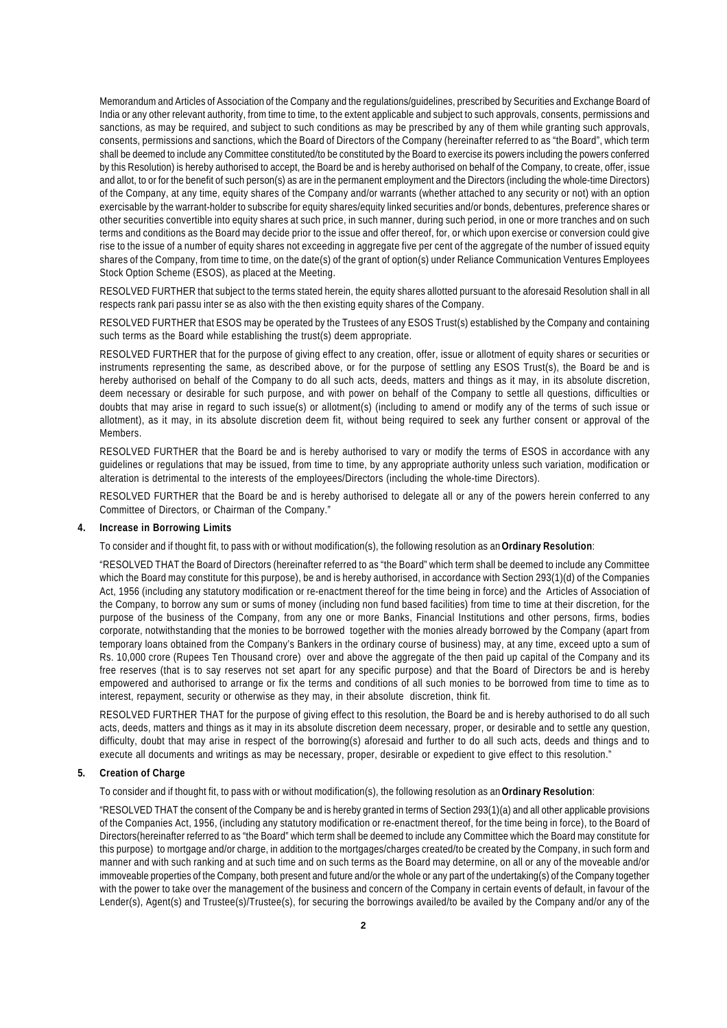Memorandum and Articles of Association of the Company and the regulations/guidelines, prescribed by Securities and Exchange Board of India or any other relevant authority, from time to time, to the extent applicable and subject to such approvals, consents, permissions and sanctions, as may be required, and subject to such conditions as may be prescribed by any of them while granting such approvals, consents, permissions and sanctions, which the Board of Directors of the Company (hereinafter referred to as "the Board", which term shall be deemed to include any Committee constituted/to be constituted by the Board to exercise its powers including the powers conferred by this Resolution) is hereby authorised to accept, the Board be and is hereby authorised on behalf of the Company, to create, offer, issue and allot, to or for the benefit of such person(s) as are in the permanent employment and the Directors (including the whole-time Directors) of the Company, at any time, equity shares of the Company and/or warrants (whether attached to any security or not) with an option exercisable by the warrant-holder to subscribe for equity shares/equity linked securities and/or bonds, debentures, preference shares or other securities convertible into equity shares at such price, in such manner, during such period, in one or more tranches and on such terms and conditions as the Board may decide prior to the issue and offer thereof, for, or which upon exercise or conversion could give rise to the issue of a number of equity shares not exceeding in aggregate five per cent of the aggregate of the number of issued equity shares of the Company, from time to time, on the date(s) of the grant of option(s) under Reliance Communication Ventures Employees Stock Option Scheme (ESOS), as placed at the Meeting.

RESOLVED FURTHER that subject to the terms stated herein, the equity shares allotted pursuant to the aforesaid Resolution shall in all respects rank pari passu inter se as also with the then existing equity shares of the Company.

RESOLVED FURTHER that ESOS may be operated by the Trustees of any ESOS Trust(s) established by the Company and containing such terms as the Board while establishing the trust(s) deem appropriate.

RESOLVED FURTHER that for the purpose of giving effect to any creation, offer, issue or allotment of equity shares or securities or instruments representing the same, as described above, or for the purpose of settling any ESOS Trust(s), the Board be and is hereby authorised on behalf of the Company to do all such acts, deeds, matters and things as it may, in its absolute discretion, deem necessary or desirable for such purpose, and with power on behalf of the Company to settle all questions, difficulties or doubts that may arise in regard to such issue(s) or allotment(s) (including to amend or modify any of the terms of such issue or allotment), as it may, in its absolute discretion deem fit, without being required to seek any further consent or approval of the Members.

RESOLVED FURTHER that the Board be and is hereby authorised to vary or modify the terms of ESOS in accordance with any guidelines or regulations that may be issued, from time to time, by any appropriate authority unless such variation, modification or alteration is detrimental to the interests of the employees/Directors (including the whole-time Directors).

RESOLVED FURTHER that the Board be and is hereby authorised to delegate all or any of the powers herein conferred to any Committee of Directors, or Chairman of the Company."

### **4. Increase in Borrowing Limits**

To consider and if thought fit, to pass with or without modification(s), the following resolution as an **Ordinary Resolution**:

"RESOLVED THAT the Board of Directors (hereinafter referred to as "the Board" which term shall be deemed to include any Committee which the Board may constitute for this purpose), be and is hereby authorised, in accordance with Section 293(1)(d) of the Companies Act, 1956 (including any statutory modification or re-enactment thereof for the time being in force) and the Articles of Association of the Company, to borrow any sum or sums of money (including non fund based facilities) from time to time at their discretion, for the purpose of the business of the Company, from any one or more Banks, Financial Institutions and other persons, firms, bodies corporate, notwithstanding that the monies to be borrowed together with the monies already borrowed by the Company (apart from temporary loans obtained from the Company's Bankers in the ordinary course of business) may, at any time, exceed upto a sum of Rs. 10,000 crore (Rupees Ten Thousand crore) over and above the aggregate of the then paid up capital of the Company and its free reserves (that is to say reserves not set apart for any specific purpose) and that the Board of Directors be and is hereby empowered and authorised to arrange or fix the terms and conditions of all such monies to be borrowed from time to time as to interest, repayment, security or otherwise as they may, in their absolute discretion, think fit.

RESOLVED FURTHER THAT for the purpose of giving effect to this resolution, the Board be and is hereby authorised to do all such acts, deeds, matters and things as it may in its absolute discretion deem necessary, proper, or desirable and to settle any question, difficulty, doubt that may arise in respect of the borrowing(s) aforesaid and further to do all such acts, deeds and things and to execute all documents and writings as may be necessary, proper, desirable or expedient to give effect to this resolution."

## **5. Creation of Charge**

To consider and if thought fit, to pass with or without modification(s), the following resolution as an **Ordinary Resolution**:

"RESOLVED THAT the consent of the Company be and is hereby granted in terms of Section 293(1)(a) and all other applicable provisions of the Companies Act, 1956, (including any statutory modification or re-enactment thereof, for the time being in force), to the Board of Directors(hereinafter referred to as "the Board" which term shall be deemed to include any Committee which the Board may constitute for this purpose) to mortgage and/or charge, in addition to the mortgages/charges created/to be created by the Company, in such form and manner and with such ranking and at such time and on such terms as the Board may determine, on all or any of the moveable and/or immoveable properties of the Company, both present and future and/or the whole or any part of the undertaking(s) of the Company together with the power to take over the management of the business and concern of the Company in certain events of default, in favour of the Lender(s), Agent(s) and Trustee(s)/Trustee(s), for securing the borrowings availed/to be availed by the Company and/or any of the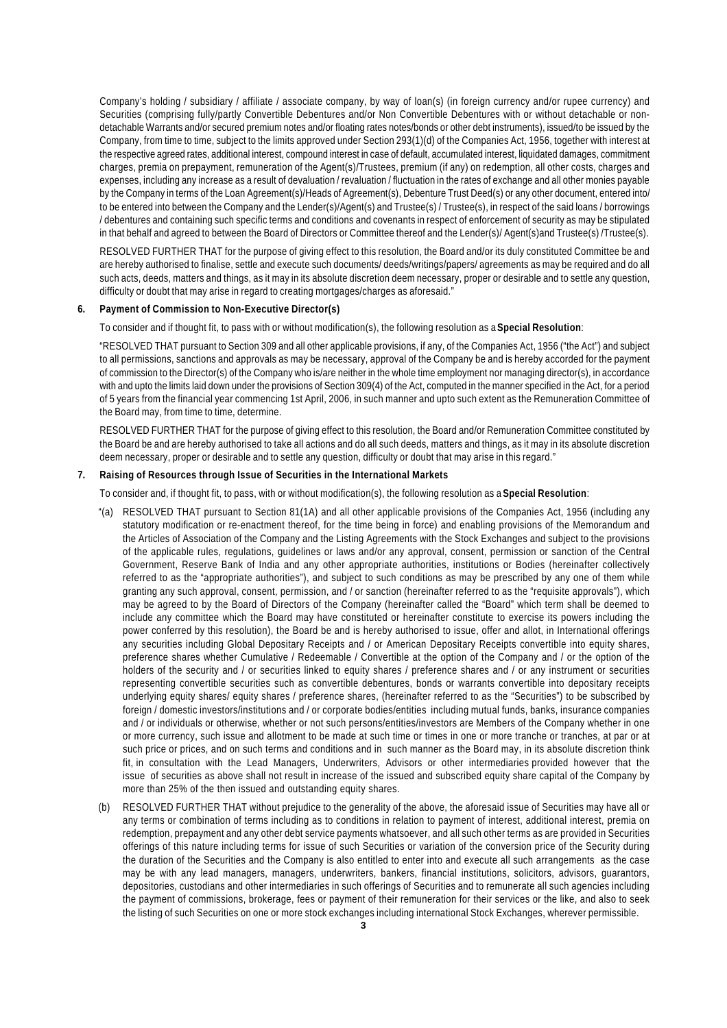Company's holding / subsidiary / affiliate / associate company, by way of loan(s) (in foreign currency and/or rupee currency) and Securities (comprising fully/partly Convertible Debentures and/or Non Convertible Debentures with or without detachable or nondetachable Warrants and/or secured premium notes and/or floating rates notes/bonds or other debt instruments), issued/to be issued by the Company, from time to time, subject to the limits approved under Section 293(1)(d) of the Companies Act, 1956, together with interest at the respective agreed rates, additional interest, compound interest in case of default, accumulated interest, liquidated damages, commitment charges, premia on prepayment, remuneration of the Agent(s)/Trustees, premium (if any) on redemption, all other costs, charges and expenses, including any increase as a result of devaluation / revaluation / fluctuation in the rates of exchange and all other monies payable by the Company in terms of the Loan Agreement(s)/Heads of Agreement(s), Debenture Trust Deed(s) or any other document, entered into/ to be entered into between the Company and the Lender(s)/Agent(s) and Trustee(s) / Trustee(s), in respect of the said loans / borrowings / debentures and containing such specific terms and conditions and covenants in respect of enforcement of security as may be stipulated in that behalf and agreed to between the Board of Directors or Committee thereof and the Lender(s)/ Agent(s)and Trustee(s) /Trustee(s).

RESOLVED FURTHER THAT for the purpose of giving effect to this resolution, the Board and/or its duly constituted Committee be and are hereby authorised to finalise, settle and execute such documents/ deeds/writings/papers/ agreements as may be required and do all such acts, deeds, matters and things, as it may in its absolute discretion deem necessary, proper or desirable and to settle any question, difficulty or doubt that may arise in regard to creating mortgages/charges as aforesaid."

### **6. Payment of Commission to Non-Executive Director(s)**

To consider and if thought fit, to pass with or without modification(s), the following resolution as a **Special Resolution**:

"RESOLVED THAT pursuant to Section 309 and all other applicable provisions, if any, of the Companies Act, 1956 ("the Act") and subject to all permissions, sanctions and approvals as may be necessary, approval of the Company be and is hereby accorded for the payment of commission to the Director(s) of the Company who is/are neither in the whole time employment nor managing director(s), in accordance with and upto the limits laid down under the provisions of Section 309(4) of the Act, computed in the manner specified in the Act, for a period of 5 years from the financial year commencing 1st April, 2006, in such manner and upto such extent as the Remuneration Committee of the Board may, from time to time, determine.

RESOLVED FURTHER THAT for the purpose of giving effect to this resolution, the Board and/or Remuneration Committee constituted by the Board be and are hereby authorised to take all actions and do all such deeds, matters and things, as it may in its absolute discretion deem necessary, proper or desirable and to settle any question, difficulty or doubt that may arise in this regard."

### **7. Raising of Resources through Issue of Securities in the International Markets**

To consider and, if thought fit, to pass, with or without modification(s), the following resolution as a **Special Resolution**:

- "(a) RESOLVED THAT pursuant to Section 81(1A) and all other applicable provisions of the Companies Act, 1956 (including any statutory modification or re-enactment thereof, for the time being in force) and enabling provisions of the Memorandum and the Articles of Association of the Company and the Listing Agreements with the Stock Exchanges and subject to the provisions of the applicable rules, regulations, guidelines or laws and/or any approval, consent, permission or sanction of the Central Government, Reserve Bank of India and any other appropriate authorities, institutions or Bodies (hereinafter collectively referred to as the "appropriate authorities"), and subject to such conditions as may be prescribed by any one of them while granting any such approval, consent, permission, and / or sanction (hereinafter referred to as the "requisite approvals"), which may be agreed to by the Board of Directors of the Company (hereinafter called the "Board" which term shall be deemed to include any committee which the Board may have constituted or hereinafter constitute to exercise its powers including the power conferred by this resolution), the Board be and is hereby authorised to issue, offer and allot, in International offerings any securities including Global Depositary Receipts and / or American Depositary Receipts convertible into equity shares, preference shares whether Cumulative / Redeemable / Convertible at the option of the Company and / or the option of the holders of the security and / or securities linked to equity shares / preference shares and / or any instrument or securities representing convertible securities such as convertible debentures, bonds or warrants convertible into depositary receipts underlying equity shares/ equity shares / preference shares, (hereinafter referred to as the "Securities") to be subscribed by foreign / domestic investors/institutions and / or corporate bodies/entities including mutual funds, banks, insurance companies and / or individuals or otherwise, whether or not such persons/entities/investors are Members of the Company whether in one or more currency, such issue and allotment to be made at such time or times in one or more tranche or tranches, at par or at such price or prices, and on such terms and conditions and in such manner as the Board may, in its absolute discretion think fit, in consultation with the Lead Managers, Underwriters, Advisors or other intermediaries provided however that the issue of securities as above shall not result in increase of the issued and subscribed equity share capital of the Company by more than 25% of the then issued and outstanding equity shares.
- (b) RESOLVED FURTHER THAT without prejudice to the generality of the above, the aforesaid issue of Securities may have all or any terms or combination of terms including as to conditions in relation to payment of interest, additional interest, premia on redemption, prepayment and any other debt service payments whatsoever, and all such other terms as are provided in Securities offerings of this nature including terms for issue of such Securities or variation of the conversion price of the Security during the duration of the Securities and the Company is also entitled to enter into and execute all such arrangements as the case may be with any lead managers, managers, underwriters, bankers, financial institutions, solicitors, advisors, guarantors, depositories, custodians and other intermediaries in such offerings of Securities and to remunerate all such agencies including the payment of commissions, brokerage, fees or payment of their remuneration for their services or the like, and also to seek the listing of such Securities on one or more stock exchanges including international Stock Exchanges, wherever permissible.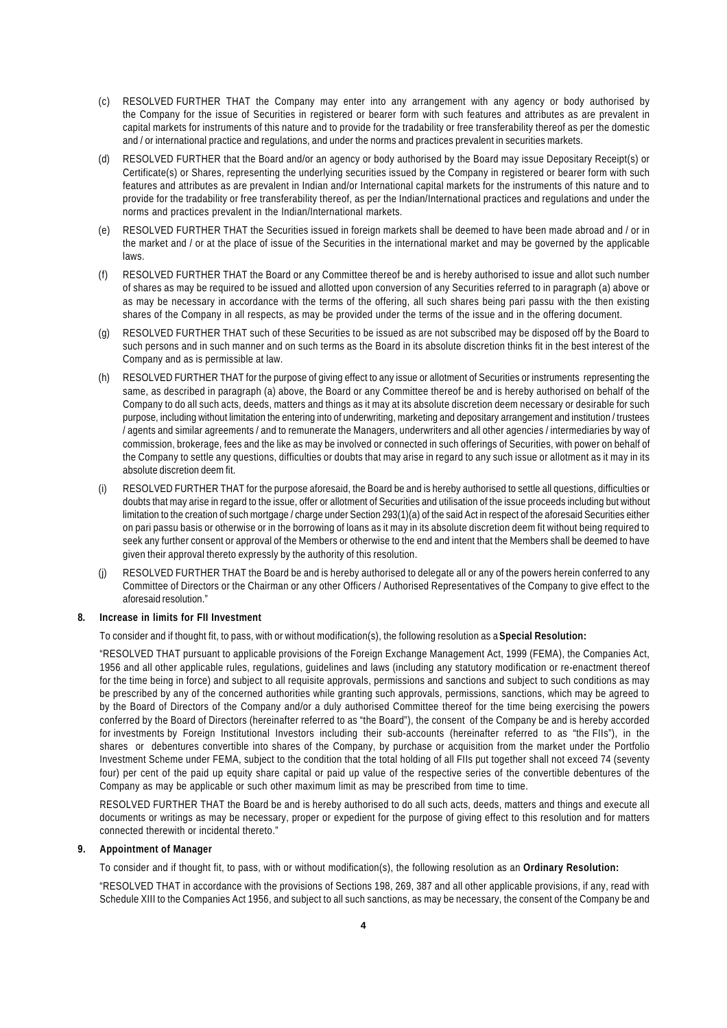- (c) RESOLVED FURTHER THAT the Company may enter into any arrangement with any agency or body authorised by the Company for the issue of Securities in registered or bearer form with such features and attributes as are prevalent in capital markets for instruments of this nature and to provide for the tradability or free transferability thereof as per the domestic and / or international practice and regulations, and under the norms and practices prevalent in securities markets.
- (d) RESOLVED FURTHER that the Board and/or an agency or body authorised by the Board may issue Depositary Receipt(s) or Certificate(s) or Shares, representing the underlying securities issued by the Company in registered or bearer form with such features and attributes as are prevalent in Indian and/or International capital markets for the instruments of this nature and to provide for the tradability or free transferability thereof, as per the Indian/International practices and regulations and under the norms and practices prevalent in the Indian/International markets.
- (e) RESOLVED FURTHER THAT the Securities issued in foreign markets shall be deemed to have been made abroad and / or in the market and / or at the place of issue of the Securities in the international market and may be governed by the applicable laws.
- (f) RESOLVED FURTHER THAT the Board or any Committee thereof be and is hereby authorised to issue and allot such number of shares as may be required to be issued and allotted upon conversion of any Securities referred to in paragraph (a) above or as may be necessary in accordance with the terms of the offering, all such shares being pari passu with the then existing shares of the Company in all respects, as may be provided under the terms of the issue and in the offering document.
- (g) RESOLVED FURTHER THAT such of these Securities to be issued as are not subscribed may be disposed off by the Board to such persons and in such manner and on such terms as the Board in its absolute discretion thinks fit in the best interest of the Company and as is permissible at law.
- (h) RESOLVED FURTHER THAT for the purpose of giving effect to any issue or allotment of Securities or instruments representing the same, as described in paragraph (a) above, the Board or any Committee thereof be and is hereby authorised on behalf of the Company to do all such acts, deeds, matters and things as it may at its absolute discretion deem necessary or desirable for such purpose, including without limitation the entering into of underwriting, marketing and depositary arrangement and institution / trustees / agents and similar agreements / and to remunerate the Managers, underwriters and all other agencies / intermediaries by way of commission, brokerage, fees and the like as may be involved or connected in such offerings of Securities, with power on behalf of the Company to settle any questions, difficulties or doubts that may arise in regard to any such issue or allotment as it may in its absolute discretion deem fit.
- (i) RESOLVED FURTHER THAT for the purpose aforesaid, the Board be and is hereby authorised to settle all questions, difficulties or doubts that may arise in regard to the issue, offer or allotment of Securities and utilisation of the issue proceeds including but without limitation to the creation of such mortgage / charge under Section 293(1)(a) of the said Act in respect of the aforesaid Securities either on pari passu basis or otherwise or in the borrowing of loans as it may in its absolute discretion deem fit without being required to seek any further consent or approval of the Members or otherwise to the end and intent that the Members shall be deemed to have given their approval thereto expressly by the authority of this resolution.
- (j) RESOLVED FURTHER THAT the Board be and is hereby authorised to delegate all or any of the powers herein conferred to any Committee of Directors or the Chairman or any other Officers / Authorised Representatives of the Company to give effect to the aforesaid resolution."

### **8. Increase in limits for FII Investment**

To consider and if thought fit, to pass, with or without modification(s), the following resolution as a **Special Resolution:**

"RESOLVED THAT pursuant to applicable provisions of the Foreign Exchange Management Act, 1999 (FEMA), the Companies Act, 1956 and all other applicable rules, regulations, guidelines and laws (including any statutory modification or re-enactment thereof for the time being in force) and subject to all requisite approvals, permissions and sanctions and subject to such conditions as may be prescribed by any of the concerned authorities while granting such approvals, permissions, sanctions, which may be agreed to by the Board of Directors of the Company and/or a duly authorised Committee thereof for the time being exercising the powers conferred by the Board of Directors (hereinafter referred to as "the Board"), the consent of the Company be and is hereby accorded for investments by Foreign Institutional Investors including their sub-accounts (hereinafter referred to as "the FIIs"), in the shares or debentures convertible into shares of the Company, by purchase or acquisition from the market under the Portfolio Investment Scheme under FEMA, subject to the condition that the total holding of all FIIs put together shall not exceed 74 (seventy four) per cent of the paid up equity share capital or paid up value of the respective series of the convertible debentures of the Company as may be applicable or such other maximum limit as may be prescribed from time to time.

RESOLVED FURTHER THAT the Board be and is hereby authorised to do all such acts, deeds, matters and things and execute all documents or writings as may be necessary, proper or expedient for the purpose of giving effect to this resolution and for matters connected therewith or incidental thereto."

### **9. Appointment of Manager**

To consider and if thought fit, to pass, with or without modification(s), the following resolution as an **Ordinary Resolution:**

"RESOLVED THAT in accordance with the provisions of Sections 198, 269, 387 and all other applicable provisions, if any, read with Schedule XIII to the Companies Act 1956, and subject to all such sanctions, as may be necessary, the consent of the Company be and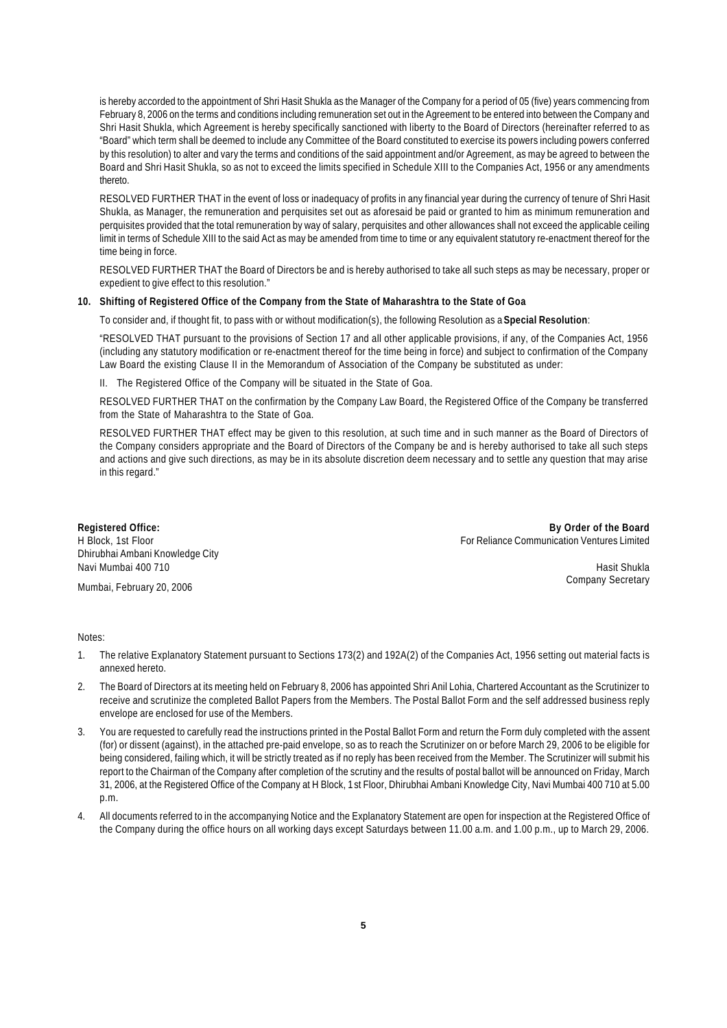is hereby accorded to the appointment of Shri Hasit Shukla as the Manager of the Company for a period of 05 (five) years commencing from February 8, 2006 on the terms and conditions including remuneration set out in the Agreement to be entered into between the Company and Shri Hasit Shukla, which Agreement is hereby specifically sanctioned with liberty to the Board of Directors (hereinafter referred to as "Board" which term shall be deemed to include any Committee of the Board constituted to exercise its powers including powers conferred by this resolution) to alter and vary the terms and conditions of the said appointment and/or Agreement, as may be agreed to between the Board and Shri Hasit Shukla, so as not to exceed the limits specified in Schedule XIII to the Companies Act, 1956 or any amendments thereto.

RESOLVED FURTHER THAT in the event of loss or inadequacy of profits in any financial year during the currency of tenure of Shri Hasit Shukla, as Manager, the remuneration and perquisites set out as aforesaid be paid or granted to him as minimum remuneration and perquisites provided that the total remuneration by way of salary, perquisites and other allowances shall not exceed the applicable ceiling limit in terms of Schedule XIII to the said Act as may be amended from time to time or any equivalent statutory re-enactment thereof for the time being in force.

RESOLVED FURTHER THAT the Board of Directors be and is hereby authorised to take all such steps as may be necessary, proper or expedient to give effect to this resolution."

### **10. Shifting of Registered Office of the Company from the State of Maharashtra to the State of Goa**

To consider and, if thought fit, to pass with or without modification(s), the following Resolution as a **Special Resolution**:

"RESOLVED THAT pursuant to the provisions of Section 17 and all other applicable provisions, if any, of the Companies Act, 1956 (including any statutory modification or re-enactment thereof for the time being in force) and subject to confirmation of the Company Law Board the existing Clause II in the Memorandum of Association of the Company be substituted as under:

II. The Registered Office of the Company will be situated in the State of Goa.

RESOLVED FURTHER THAT on the confirmation by the Company Law Board, the Registered Office of the Company be transferred from the State of Maharashtra to the State of Goa.

RESOLVED FURTHER THAT effect may be given to this resolution, at such time and in such manner as the Board of Directors of the Company considers appropriate and the Board of Directors of the Company be and is hereby authorised to take all such steps and actions and give such directions, as may be in its absolute discretion deem necessary and to settle any question that may arise in this regard."

Dhirubhai Ambani Knowledge City navi Mumbai 400 710 hasit Shukla asl nashrida asl nashrida asl nashrida asl nashrida asl nashrida asl nashrida  $H$ asit Shukla

Mumbai, February 20, 2006 Company Secretary and the United States of the Company Secretary Company Secretary

**Registered Office: By Order of the Board** H Block, 1st Floor For Reliance Communication Ventures Limited

Notes:

- 1. The relative Explanatory Statement pursuant to Sections 173(2) and 192A(2) of the Companies Act, 1956 setting out material facts is annexed hereto.
- 2. The Board of Directors at its meeting held on February 8, 2006 has appointed Shri Anil Lohia, Chartered Accountant as the Scrutinizer to receive and scrutinize the completed Ballot Papers from the Members. The Postal Ballot Form and the self addressed business reply envelope are enclosed for use of the Members.
- 3. You are requested to carefully read the instructions printed in the Postal Ballot Form and return the Form duly completed with the assent (for) or dissent (against), in the attached pre-paid envelope, so as to reach the Scrutinizer on or before March 29, 2006 to be eligible for being considered, failing which, it will be strictly treated as if no reply has been received from the Member. The Scrutinizer will submit his report to the Chairman of the Company after completion of the scrutiny and the results of postal ballot will be announced on Friday, March 31, 2006, at the Registered Office of the Company at H Block, 1 st Floor, Dhirubhai Ambani Knowledge City, Navi Mumbai 400 710 at 5.00 p.m.
- 4. All documents referred to in the accompanying Notice and the Explanatory Statement are open for inspection at the Registered Office of the Company during the office hours on all working days except Saturdays between 11.00 a.m. and 1.00 p.m., up to March 29, 2006.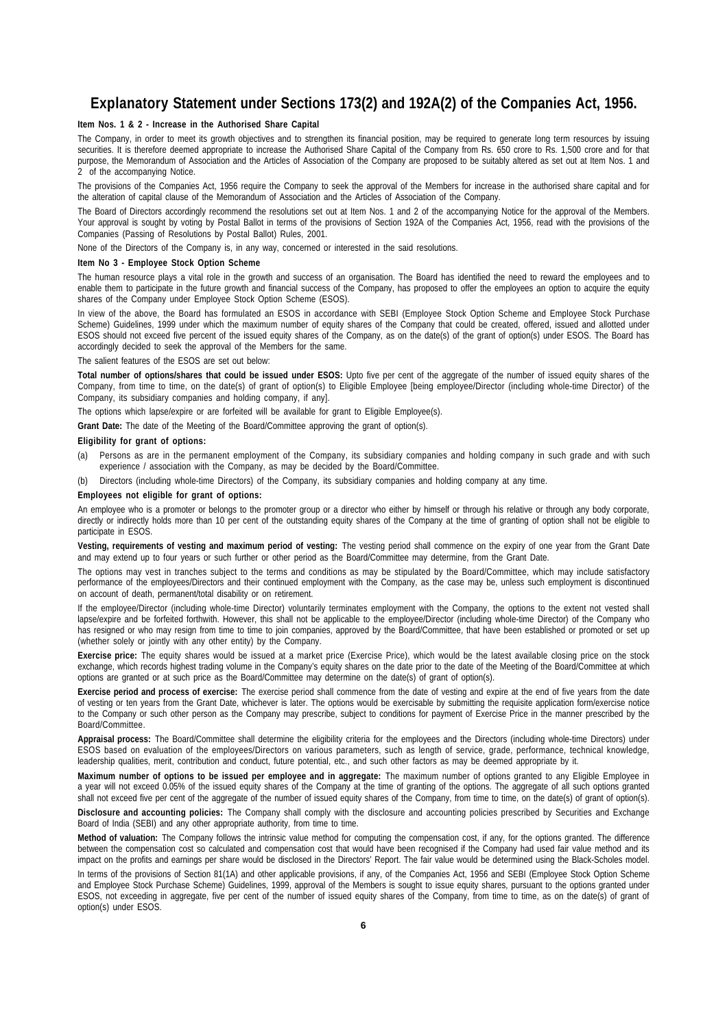## **Explanatory Statement under Sections 173(2) and 192A(2) of the Companies Act, 1956.**

### **Item Nos. 1 & 2 - Increase in the Authorised Share Capital**

The Company, in order to meet its growth objectives and to strengthen its financial position, may be required to generate long term resources by issuing securities. It is therefore deemed appropriate to increase the Authorised Share Capital of the Company from Rs. 650 crore to Rs. 1,500 crore and for that purpose, the Memorandum of Association and the Articles of Association of the Company are proposed to be suitably altered as set out at Item Nos. 1 and 2 of the accompanying Notice.

The provisions of the Companies Act, 1956 require the Company to seek the approval of the Members for increase in the authorised share capital and for the alteration of capital clause of the Memorandum of Association and the Articles of Association of the Company.

The Board of Directors accordingly recommend the resolutions set out at Item Nos. 1 and 2 of the accompanying Notice for the approval of the Members. Your approval is sought by voting by Postal Ballot in terms of the provisions of Section 192A of the Companies Act, 1956, read with the provisions of the Companies (Passing of Resolutions by Postal Ballot) Rules, 2001.

None of the Directors of the Company is, in any way, concerned or interested in the said resolutions.

### **Item No 3 - Employee Stock Option Scheme**

The human resource plays a vital role in the growth and success of an organisation. The Board has identified the need to reward the employees and to enable them to participate in the future growth and financial success of the Company, has proposed to offer the employees an option to acquire the equity shares of the Company under Employee Stock Option Scheme (ESOS).

In view of the above, the Board has formulated an ESOS in accordance with SEBI (Employee Stock Option Scheme and Employee Stock Purchase Scheme) Guidelines, 1999 under which the maximum number of equity shares of the Company that could be created, offered, issued and allotted under ESOS should not exceed five percent of the issued equity shares of the Company, as on the date(s) of the grant of option(s) under ESOS. The Board has accordingly decided to seek the approval of the Members for the same.

The salient features of the ESOS are set out below:

Total number of options/shares that could be issued under ESOS: Upto five per cent of the aggregate of the number of issued equity shares of the Company, from time to time, on the date(s) of grant of option(s) to Eligible Employee [being employee/Director (including whole-time Director) of the Company, its subsidiary companies and holding company, if any].

The options which lapse/expire or are forfeited will be available for grant to Eligible Employee(s).

**Grant Date:** The date of the Meeting of the Board/Committee approving the grant of option(s).

### **Eligibility for grant of options:**

- (a) Persons as are in the permanent employment of the Company, its subsidiary companies and holding company in such grade and with such experience / association with the Company, as may be decided by the Board/Committee.
- (b) Directors (including whole-time Directors) of the Company, its subsidiary companies and holding company at any time.

### **Employees not eligible for grant of options:**

An employee who is a promoter or belongs to the promoter group or a director who either by himself or through his relative or through any body corporate, directly or indirectly holds more than 10 per cent of the outstanding equity shares of the Company at the time of granting of option shall not be eligible to participate in ESOS.

**Vesting, requirements of vesting and maximum period of vesting:** The vesting period shall commence on the expiry of one year from the Grant Date and may extend up to four years or such further or other period as the Board/Committee may determine, from the Grant Date.

The options may vest in tranches subject to the terms and conditions as may be stipulated by the Board/Committee, which may include satisfactory performance of the employees/Directors and their continued employment with the Company, as the case may be, unless such employment is discontinued on account of death, permanent/total disability or on retirement.

If the employee/Director (including whole-time Director) voluntarily terminates employment with the Company, the options to the extent not vested shall lapse/expire and be forfeited forthwith. However, this shall not be applicable to the employee/Director (including whole-time Director) of the Company who has resigned or who may resign from time to time to join companies, approved by the Board/Committee, that have been established or promoted or set up (whether solely or jointly with any other entity) by the Company.

**Exercise price:** The equity shares would be issued at a market price (Exercise Price), which would be the latest available closing price on the stock exchange, which records highest trading volume in the Company's equity shares on the date prior to the date of the Meeting of the Board/Committee at which options are granted or at such price as the Board/Committee may determine on the date(s) of grant of option(s).

**Exercise period and process of exercise:** The exercise period shall commence from the date of vesting and expire at the end of five years from the date of vesting or ten years from the Grant Date, whichever is later. The options would be exercisable by submitting the requisite application form/exercise notice to the Company or such other person as the Company may prescribe, subject to conditions for payment of Exercise Price in the manner prescribed by the Board/Committee.

**Appraisal process:** The Board/Committee shall determine the eligibility criteria for the employees and the Directors (including whole-time Directors) under ESOS based on evaluation of the employees/Directors on various parameters, such as length of service, grade, performance, technical knowledge, leadership qualities, merit, contribution and conduct, future potential, etc., and such other factors as may be deemed appropriate by it.

**Maximum number of options to be issued per employee and in aggregate:** The maximum number of options granted to any Eligible Employee in a year will not exceed 0.05% of the issued equity shares of the Company at the time of granting of the options. The aggregate of all such options granted shall not exceed five per cent of the aggregate of the number of issued equity shares of the Company, from time to time, on the date(s) of grant of option(s).

**Disclosure and accounting policies:** The Company shall comply with the disclosure and accounting policies prescribed by Securities and Exchange Board of India (SEBI) and any other appropriate authority, from time to time.

**Method of valuation:** The Company follows the intrinsic value method for computing the compensation cost, if any, for the options granted. The difference between the compensation cost so calculated and compensation cost that would have been recognised if the Company had used fair value method and its impact on the profits and earnings per share would be disclosed in the Directors' Report. The fair value would be determined using the Black-Scholes model. In terms of the provisions of Section 81(1A) and other applicable provisions, if any, of the Companies Act, 1956 and SEBI (Employee Stock Option Scheme and Employee Stock Purchase Scheme) Guidelines, 1999, approval of the Members is sought to issue equity shares, pursuant to the options granted under ESOS, not exceeding in aggregate, five per cent of the number of issued equity shares of the Company, from time to time, as on the date(s) of grant of option(s) under ESOS.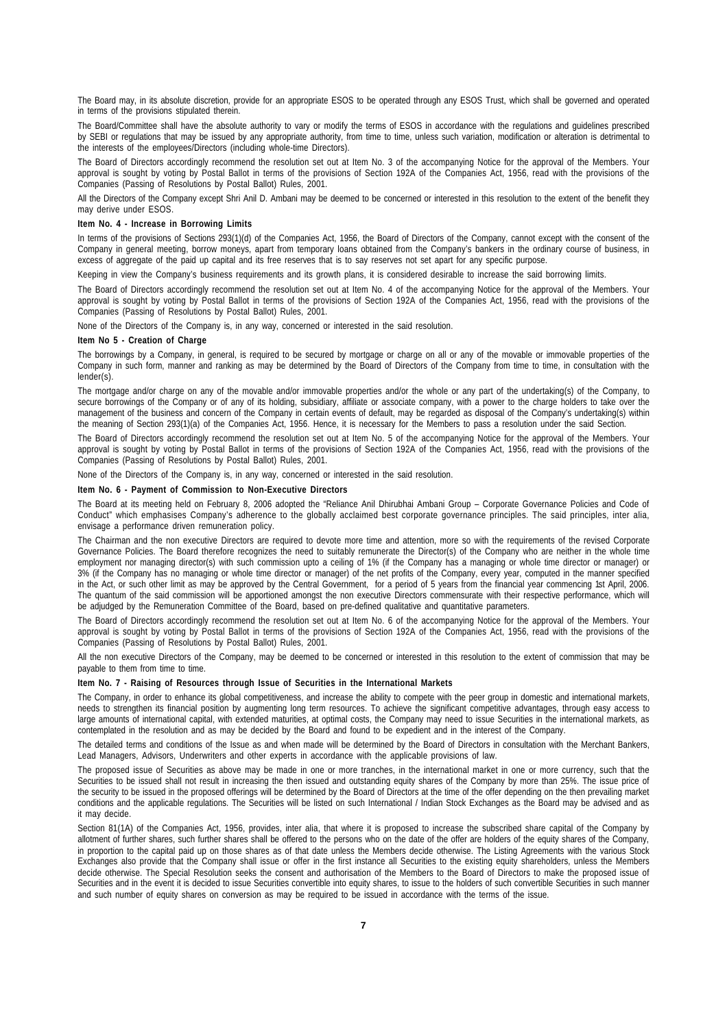The Board may, in its absolute discretion, provide for an appropriate ESOS to be operated through any ESOS Trust, which shall be governed and operated in terms of the provisions stipulated therein.

The Board/Committee shall have the absolute authority to vary or modify the terms of ESOS in accordance with the regulations and guidelines prescribed by SEBI or regulations that may be issued by any appropriate authority, from time to time, unless such variation, modification or alteration is detrimental to the interests of the employees/Directors (including whole-time Directors).

The Board of Directors accordingly recommend the resolution set out at Item No. 3 of the accompanying Notice for the approval of the Members. Your approval is sought by voting by Postal Ballot in terms of the provisions of Section 192A of the Companies Act, 1956, read with the provisions of the Companies (Passing of Resolutions by Postal Ballot) Rules, 2001.

All the Directors of the Company except Shri Anil D. Ambani may be deemed to be concerned or interested in this resolution to the extent of the benefit they may derive under ESOS.

### **Item No. 4 - Increase in Borrowing Limits**

In terms of the provisions of Sections 293(1)(d) of the Companies Act, 1956, the Board of Directors of the Company, cannot except with the consent of the Company in general meeting, borrow moneys, apart from temporary loans obtained from the Company's bankers in the ordinary course of business, in excess of aggregate of the paid up capital and its free reserves that is to say reserves not set apart for any specific purpose.

Keeping in view the Company's business requirements and its growth plans, it is considered desirable to increase the said borrowing limits.

The Board of Directors accordingly recommend the resolution set out at Item No. 4 of the accompanying Notice for the approval of the Members. Your approval is sought by voting by Postal Ballot in terms of the provisions of Section 192A of the Companies Act, 1956, read with the provisions of the Companies (Passing of Resolutions by Postal Ballot) Rules, 2001.

None of the Directors of the Company is, in any way, concerned or interested in the said resolution.

### **Item No 5 - Creation of Charge**

The borrowings by a Company, in general, is required to be secured by mortgage or charge on all or any of the movable or immovable properties of the Company in such form, manner and ranking as may be determined by the Board of Directors of the Company from time to time, in consultation with the lender(s).

The mortgage and/or charge on any of the movable and/or immovable properties and/or the whole or any part of the undertaking(s) of the Company, to secure borrowings of the Company or of any of its holding, subsidiary, affiliate or associate company, with a power to the charge holders to take over the management of the business and concern of the Company in certain events of default, may be regarded as disposal of the Company's undertaking(s) within the meaning of Section 293(1)(a) of the Companies Act, 1956. Hence, it is necessary for the Members to pass a resolution under the said Section.

The Board of Directors accordingly recommend the resolution set out at Item No. 5 of the accompanying Notice for the approval of the Members. Your approval is sought by voting by Postal Ballot in terms of the provisions of Section 192A of the Companies Act, 1956, read with the provisions of the Companies (Passing of Resolutions by Postal Ballot) Rules, 2001.

None of the Directors of the Company is, in any way, concerned or interested in the said resolution.

### **Item No. 6 - Payment of Commission to Non-Executive Directors**

The Board at its meeting held on February 8, 2006 adopted the "Reliance Anil Dhirubhai Ambani Group – Corporate Governance Policies and Code of Conduct" which emphasises Company's adherence to the globally acclaimed best corporate governance principles. The said principles, inter alia, envisage a performance driven remuneration policy.

The Chairman and the non executive Directors are required to devote more time and attention, more so with the requirements of the revised Corporate Governance Policies. The Board therefore recognizes the need to suitably remunerate the Director(s) of the Company who are neither in the whole time employment nor managing director(s) with such commission upto a ceiling of 1% (if the Company has a managing or whole time director or manager) or 3% (if the Company has no managing or whole time director or manager) of the net profits of the Company, every year, computed in the manner specified in the Act, or such other limit as may be approved by the Central Government, for a period of 5 years from the financial year commencing 1st April, 2006. The quantum of the said commission will be apportioned amongst the non executive Directors commensurate with their respective performance, which will be adjudged by the Remuneration Committee of the Board, based on pre-defined qualitative and quantitative parameters.

The Board of Directors accordingly recommend the resolution set out at Item No. 6 of the accompanying Notice for the approval of the Members. Your approval is sought by voting by Postal Ballot in terms of the provisions of Section 192A of the Companies Act, 1956, read with the provisions of the Companies (Passing of Resolutions by Postal Ballot) Rules, 2001.

All the non executive Directors of the Company, may be deemed to be concerned or interested in this resolution to the extent of commission that may be payable to them from time to time.

### **Item No. 7 - Raising of Resources through Issue of Securities in the International Markets**

The Company, in order to enhance its global competitiveness, and increase the ability to compete with the peer group in domestic and international markets, needs to strengthen its financial position by augmenting long term resources. To achieve the significant competitive advantages, through easy access to large amounts of international capital, with extended maturities, at optimal costs, the Company may need to issue Securities in the international markets, as contemplated in the resolution and as may be decided by the Board and found to be expedient and in the interest of the Company.

The detailed terms and conditions of the Issue as and when made will be determined by the Board of Directors in consultation with the Merchant Bankers, Lead Managers, Advisors, Underwriters and other experts in accordance with the applicable provisions of law.

The proposed issue of Securities as above may be made in one or more tranches, in the international market in one or more currency, such that the Securities to be issued shall not result in increasing the then issued and outstanding equity shares of the Company by more than 25%. The issue price of the security to be issued in the proposed offerings will be determined by the Board of Directors at the time of the offer depending on the then prevailing market conditions and the applicable regulations. The Securities will be listed on such International / Indian Stock Exchanges as the Board may be advised and as it may decide.

Section 81(1A) of the Companies Act, 1956, provides, inter alia, that where it is proposed to increase the subscribed share capital of the Company by allotment of further shares, such further shares shall be offered to the persons who on the date of the offer are holders of the equity shares of the Company, in proportion to the capital paid up on those shares as of that date unless the Members decide otherwise. The Listing Agreements with the various Stock Exchanges also provide that the Company shall issue or offer in the first instance all Securities to the existing equity shareholders, unless the Members decide otherwise. The Special Resolution seeks the consent and authorisation of the Members to the Board of Directors to make the proposed issue of Securities and in the event it is decided to issue Securities convertible into equity shares, to issue to the holders of such convertible Securities in such manner and such number of equity shares on conversion as may be required to be issued in accordance with the terms of the issue.